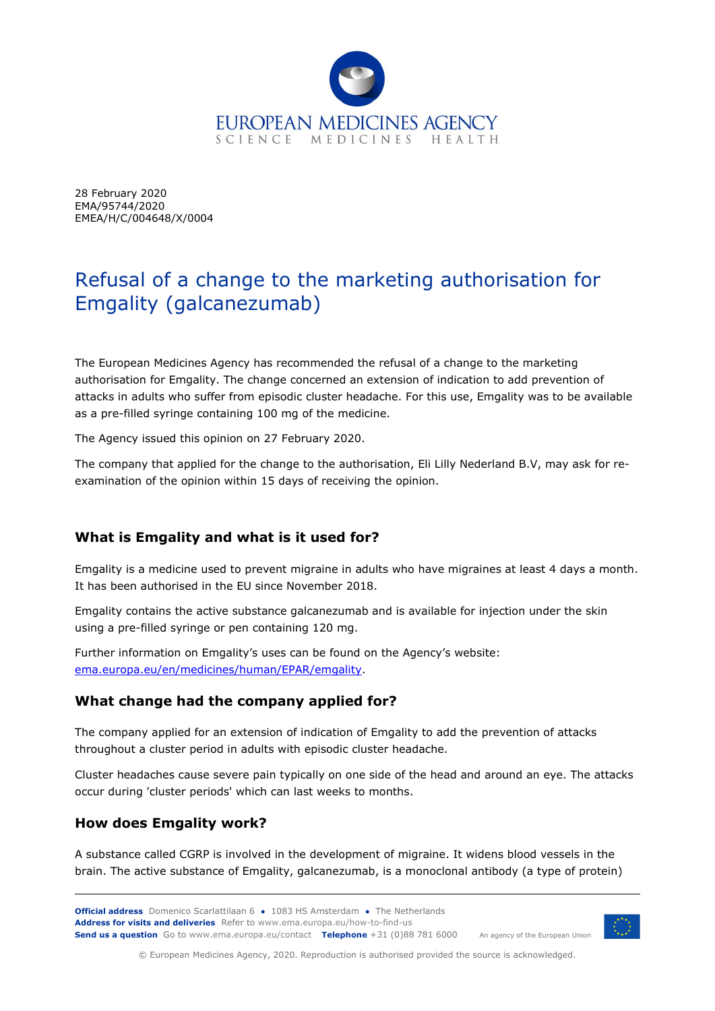

28 February 2020 EMA/95744/2020 EMEA/H/C/004648/X/0004

# Refusal of a change to the marketing authorisation for Emgality (galcanezumab)

The European Medicines Agency has recommended the refusal of a change to the marketing authorisation for Emgality. The change concerned an extension of indication to add prevention of attacks in adults who suffer from episodic cluster headache. For this use, Emgality was to be available as a pre-filled syringe containing 100 mg of the medicine.

The Agency issued this opinion on 27 February 2020.

The company that applied for the change to the authorisation, Eli Lilly Nederland B.V, may ask for reexamination of the opinion within 15 days of receiving the opinion.

# **What is Emgality and what is it used for?**

Emgality is a medicine used to prevent migraine in adults who have migraines at least 4 days a month. It has been authorised in the EU since November 2018.

Emgality contains the active substance galcanezumab and is available for injection under the skin using a pre-filled syringe or pen containing 120 mg.

Further information on Emgality's uses can be found on the Agency's website: [ema.europa.eu/en/medicines/human/EPAR/emgality.](https://www.ema.europa.eu/en/medicines/human/EPAR/emgality)

## **What change had the company applied for?**

The company applied for an extension of indication of Emgality to add the prevention of attacks throughout a cluster period in adults with episodic cluster headache.

Cluster headaches cause severe pain typically on one side of the head and around an eye. The attacks occur during 'cluster periods' which can last weeks to months.

#### **How does Emgality work?**

A substance called CGRP is involved in the development of migraine. It widens blood vessels in the brain. The active substance of Emgality, galcanezumab, is a monoclonal antibody (a type of protein)

**Official address** Domenico Scarlattilaan 6 **●** 1083 HS Amsterdam **●** The Netherlands An agency of the European Union **Address for visits and deliveries** Refer to www.ema.europa.eu/how-to-find-us **Send us a question** Go to www.ema.europa.eu/contact **Telephone** +31 (0)88 781 6000



© European Medicines Agency, 2020. Reproduction is authorised provided the source is acknowledged.